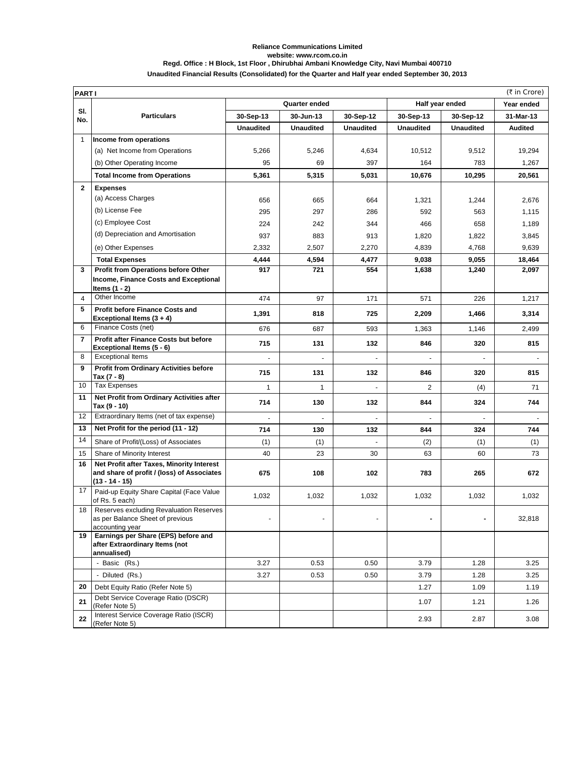## **Unaudited Financial Results (Consolidated) for the Quarter and Half year ended September 30, 2013 Reliance Communications Limited website: www.rcom.co.in Regd. Office : H Block, 1st Floor , Dhirubhai Ambani Knowledge City, Navi Mumbai 400710**

|                | (₹ in Crore)<br><b>PARTI</b>                                                                                |                  |                  |                  |                  |                  |                |
|----------------|-------------------------------------------------------------------------------------------------------------|------------------|------------------|------------------|------------------|------------------|----------------|
|                | Half year ended<br>Quarter ended                                                                            |                  |                  |                  | Year ended       |                  |                |
| SI.<br>No.     | <b>Particulars</b>                                                                                          | 30-Sep-13        | 30-Jun-13        | 30-Sep-12        | 30-Sep-13        | 30-Sep-12        | 31-Mar-13      |
|                |                                                                                                             | <b>Unaudited</b> | <b>Unaudited</b> | <b>Unaudited</b> | <b>Unaudited</b> | <b>Unaudited</b> | <b>Audited</b> |
| $\mathbf{1}$   | Income from operations                                                                                      |                  |                  |                  |                  |                  |                |
|                | (a) Net Income from Operations                                                                              | 5,266            | 5,246            | 4,634            | 10,512           | 9,512            | 19,294         |
|                | (b) Other Operating Income                                                                                  | 95               | 69               | 397              | 164              | 783              | 1,267          |
|                | <b>Total Income from Operations</b>                                                                         | 5,361            | 5,315            | 5,031            | 10,676           | 10,295           | 20,561         |
| $\mathbf{2}$   | <b>Expenses</b>                                                                                             |                  |                  |                  |                  |                  |                |
|                | (a) Access Charges                                                                                          | 656              | 665              | 664              | 1,321            | 1,244            | 2,676          |
|                | (b) License Fee                                                                                             | 295              | 297              | 286              | 592              | 563              | 1,115          |
|                | (c) Employee Cost                                                                                           | 224              | 242              | 344              | 466              | 658              | 1,189          |
|                | (d) Depreciation and Amortisation                                                                           | 937              | 883              | 913              | 1,820            | 1,822            | 3,845          |
|                | (e) Other Expenses                                                                                          | 2,332            | 2,507            | 2,270            | 4,839            | 4,768            | 9,639          |
|                | <b>Total Expenses</b>                                                                                       | 4,444            | 4,594            | 4,477            | 9,038            | 9,055            | 18,464         |
| 3              | Profit from Operations before Other<br>Income, Finance Costs and Exceptional<br>Items $(1 - 2)$             | 917              | 721              | 554              | 1,638            | 1,240            | 2,097          |
| 4              | Other Income                                                                                                | 474              | 97               | 171              | 571              | 226              | 1,217          |
| 5              | <b>Profit before Finance Costs and</b><br>Exceptional Items (3 + 4)                                         | 1,391            | 818              | 725              | 2,209            | 1,466            | 3,314          |
| 6              | Finance Costs (net)                                                                                         | 676              | 687              | 593              | 1,363            | 1,146            | 2,499          |
| $\overline{7}$ | Profit after Finance Costs but before<br>Exceptional Items (5 - 6)                                          | 715              | 131              | 132              | 846              | 320              | 815            |
| 8              | <b>Exceptional Items</b>                                                                                    |                  |                  |                  |                  |                  |                |
| 9              | <b>Profit from Ordinary Activities before</b><br>Tax (7 - 8)                                                | 715              | 131              | 132              | 846              | 320              | 815            |
| 10             | <b>Tax Expenses</b>                                                                                         | $\mathbf{1}$     | $\mathbf{1}$     |                  | 2                | (4)              | 71             |
| 11             | Net Profit from Ordinary Activities after<br>Tax (9 - 10)                                                   | 714              | 130              | 132              | 844              | 324              | 744            |
| 12             | Extraordinary Items (net of tax expense)                                                                    |                  | ÷,               |                  |                  |                  |                |
| 13             | Net Profit for the period (11 - 12)                                                                         | 714              | 130              | 132              | 844              | 324              | 744            |
| 14             | Share of Profit/(Loss) of Associates                                                                        | (1)              | (1)              |                  | (2)              | (1)              | (1)            |
| 15             | Share of Minority Interest                                                                                  | 40               | 23               | 30               | 63               | 60               | 73             |
| 16             | Net Profit after Taxes, Minority Interest<br>and share of profit / (loss) of Associates<br>$(13 - 14 - 15)$ | 675              | 108              | 102              | 783              | 265              | 672            |
| 17             | Paid-up Equity Share Capital (Face Value<br>of Rs. 5 each)                                                  | 1,032            | 1,032            | 1,032            | 1,032            | 1,032            | 1,032          |
| 18             | Reserves excluding Revaluation Reserves<br>as per Balance Sheet of previous<br>accounting year              |                  |                  | ÷,               | $\blacksquare$   |                  | 32,818         |
| 19             | Earnings per Share (EPS) before and<br>after Extraordinary Items (not<br>annualised)                        |                  |                  |                  |                  |                  |                |
|                | - Basic (Rs.)                                                                                               | 3.27             | 0.53             | 0.50             | 3.79             | 1.28             | 3.25           |
|                | - Diluted (Rs.)                                                                                             | 3.27             | 0.53             | 0.50             | 3.79             | 1.28             | 3.25           |
| 20             | Debt Equity Ratio (Refer Note 5)                                                                            |                  |                  |                  | 1.27             | 1.09             | 1.19           |
| 21             | Debt Service Coverage Ratio (DSCR)<br>(Refer Note 5)                                                        |                  |                  |                  | 1.07             | 1.21             | 1.26           |
| 22             | Interest Service Coverage Ratio (ISCR)<br>(Refer Note 5)                                                    |                  |                  |                  | 2.93             | 2.87             | 3.08           |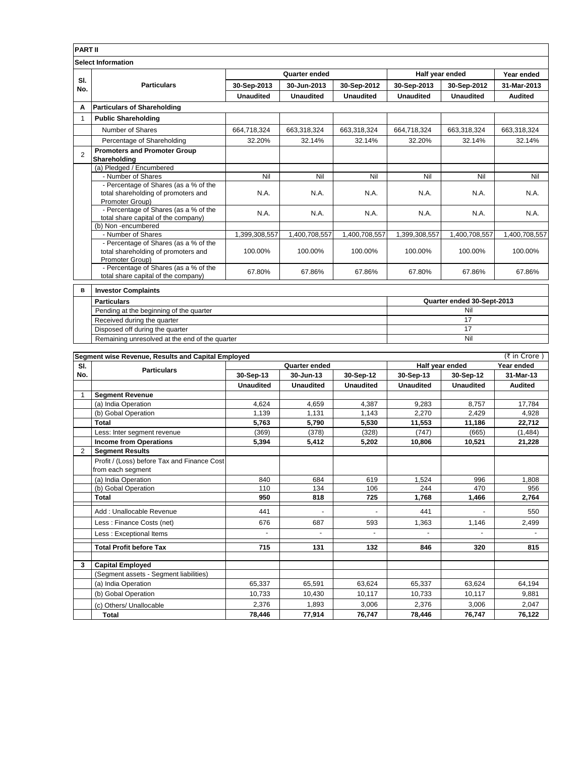| <b>PART II</b>            |                                                          |                  |                  |                  |                            |                  |                |  |
|---------------------------|----------------------------------------------------------|------------------|------------------|------------------|----------------------------|------------------|----------------|--|
| <b>Select Information</b> |                                                          |                  |                  |                  |                            |                  |                |  |
|                           | <b>Particulars</b>                                       | Quarter ended    |                  |                  | Half year ended            |                  | Year ended     |  |
| SI.<br>No.                |                                                          | 30-Sep-2013      | 30-Jun-2013      | 30-Sep-2012      | 30-Sep-2013                | 30-Sep-2012      | 31-Mar-2013    |  |
|                           |                                                          | <b>Unaudited</b> | <b>Unaudited</b> | <b>Unaudited</b> | <b>Unaudited</b>           | <b>Unaudited</b> | <b>Audited</b> |  |
| A                         | <b>Particulars of Shareholding</b>                       |                  |                  |                  |                            |                  |                |  |
| $\mathbf 1$               | <b>Public Shareholding</b>                               |                  |                  |                  |                            |                  |                |  |
|                           | Number of Shares                                         | 664,718,324      | 663,318,324      | 663,318,324      | 664,718,324                | 663,318,324      | 663,318,324    |  |
|                           | Percentage of Shareholding                               | 32.20%           | 32.14%           | 32.14%           | 32.20%                     | 32.14%           | 32.14%         |  |
| $\overline{2}$            | <b>Promoters and Promoter Group</b><br>Shareholding      |                  |                  |                  |                            |                  |                |  |
|                           | (a) Pledged / Encumbered                                 |                  |                  |                  |                            |                  |                |  |
|                           | - Number of Shares                                       | Nil              | Nil              | Nil              | Nil                        | Nil              | Nil            |  |
|                           | - Percentage of Shares (as a % of the                    |                  |                  |                  |                            |                  |                |  |
|                           | total shareholding of promoters and                      | N.A.             | N.A.             | N.A.             | N.A.                       | N.A.             | N.A.           |  |
|                           | Promoter Group)<br>- Percentage of Shares (as a % of the |                  |                  |                  |                            |                  |                |  |
|                           | total share capital of the company)                      | N.A.             | N.A.             | N.A.             | N.A.                       | N.A.             | N.A.           |  |
|                           | (b) Non-encumbered                                       |                  |                  |                  |                            |                  |                |  |
|                           | - Number of Shares                                       | 1,399,308,557    | 1,400,708,557    | 1,400,708,557    | 1,399,308,557              | 1,400,708,557    | 1,400,708,557  |  |
|                           | - Percentage of Shares (as a % of the                    |                  |                  |                  |                            |                  |                |  |
|                           | total shareholding of promoters and                      | 100.00%          | 100.00%          | 100.00%          | 100.00%                    | 100.00%          | 100.00%        |  |
|                           | Promoter Group)<br>- Percentage of Shares (as a % of the |                  |                  |                  |                            |                  |                |  |
|                           | total share capital of the company)                      | 67.80%           | 67.86%           | 67.86%           | 67.80%                     | 67.86%           | 67.86%         |  |
| в                         | <b>Investor Complaints</b>                               |                  |                  |                  |                            |                  |                |  |
|                           | <b>Particulars</b>                                       |                  |                  |                  | Quarter ended 30-Sept-2013 |                  |                |  |
|                           | Pending at the beginning of the quarter                  | Nil              |                  |                  |                            |                  |                |  |
|                           | Received during the quarter                              |                  |                  |                  | 17                         |                  |                |  |
|                           | Disposed off during the quarter                          |                  |                  |                  | 17                         |                  |                |  |
|                           | Remaining unresolved at the end of the quarter           |                  |                  |                  | Nil                        |                  |                |  |

| (₹ in Crore)<br>Segment wise Revenue, Results and Capital Employed |                                             |                  |                  |                  |                  |                  |                |
|--------------------------------------------------------------------|---------------------------------------------|------------------|------------------|------------------|------------------|------------------|----------------|
| SI.                                                                | <b>Particulars</b>                          | Quarter ended    |                  |                  | Half year ended  |                  | Year ended     |
| No.                                                                |                                             | 30-Sep-13        | 30-Jun-13        | 30-Sep-12        | 30-Sep-13        | 30-Sep-12        | 31-Mar-13      |
|                                                                    |                                             | <b>Unaudited</b> | <b>Unaudited</b> | <b>Unaudited</b> | <b>Unaudited</b> | <b>Unaudited</b> | <b>Audited</b> |
| 1                                                                  | <b>Segment Revenue</b>                      |                  |                  |                  |                  |                  |                |
|                                                                    | (a) India Operation                         | 4,624            | 4,659            | 4,387            | 9,283            | 8,757            | 17,784         |
|                                                                    | (b) Gobal Operation                         | 1.139            | 1,131            | 1,143            | 2,270            | 2,429            | 4,928          |
|                                                                    | Total                                       | 5,763            | 5,790            | 5,530            | 11,553           | 11,186           | 22,712         |
|                                                                    | Less: Inter segment revenue                 | (369)            | (378)            | (328)            | (747)            | (665)            | (1,484)        |
|                                                                    | <b>Income from Operations</b>               | 5,394            | 5,412            | 5,202            | 10,806           | 10,521           | 21,228         |
| $\overline{2}$                                                     | <b>Segment Results</b>                      |                  |                  |                  |                  |                  |                |
|                                                                    | Profit / (Loss) before Tax and Finance Cost |                  |                  |                  |                  |                  |                |
|                                                                    | from each segment                           |                  |                  |                  |                  |                  |                |
|                                                                    | (a) India Operation                         | 840              | 684              | 619              | 1.524            | 996              | 1.808          |
|                                                                    | (b) Gobal Operation                         | 110              | 134              | 106              | 244              | 470              | 956            |
|                                                                    | Total                                       | 950              | 818              | 725              | 1,768            | 1,466            | 2,764          |
|                                                                    | Add: Unallocable Revenue                    | 441              |                  |                  | 441              |                  | 550            |
|                                                                    | Less: Finance Costs (net)                   | 676              | 687              | 593              | 1,363            | 1,146            | 2,499          |
|                                                                    | Less: Exceptional Items                     | ä,               | $\blacksquare$   | $\blacksquare$   |                  |                  |                |
|                                                                    | <b>Total Profit before Tax</b>              | 715              | 131              | 132              | 846              | 320              | 815            |
| 3                                                                  | <b>Capital Employed</b>                     |                  |                  |                  |                  |                  |                |
|                                                                    | (Segment assets - Segment liabilities)      |                  |                  |                  |                  |                  |                |
|                                                                    | (a) India Operation                         | 65,337           | 65,591           | 63,624           | 65,337           | 63,624           | 64,194         |
|                                                                    | (b) Gobal Operation                         | 10,733           | 10,430           | 10,117           | 10,733           | 10,117           | 9,881          |
|                                                                    | (c) Others/ Unallocable                     | 2,376            | 1,893            | 3,006            | 2,376            | 3,006            | 2,047          |
|                                                                    | <b>Total</b>                                | 78,446           | 77,914           | 76,747           | 78,446           | 76,747           | 76,122         |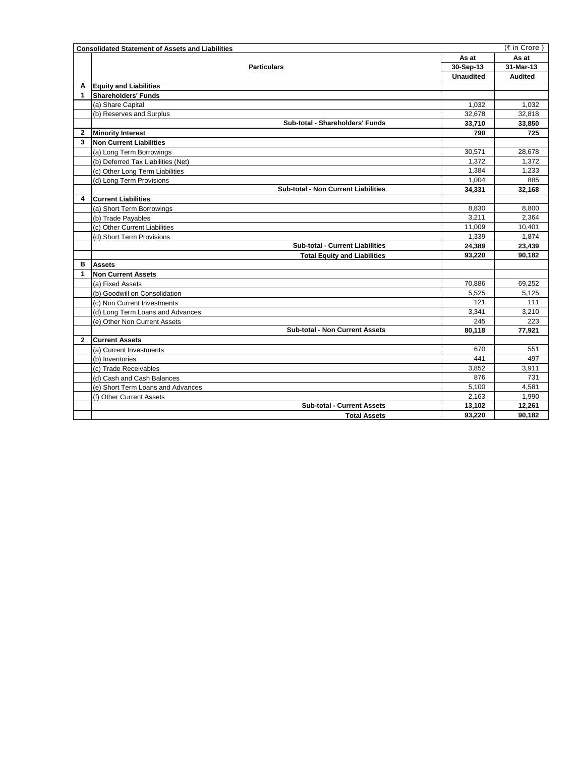|                | <b>Consolidated Statement of Assets and Liabilities</b> |                  | (₹ in Crore)   |
|----------------|---------------------------------------------------------|------------------|----------------|
|                |                                                         |                  | As at          |
|                | <b>Particulars</b>                                      | 30-Sep-13        | 31-Mar-13      |
|                |                                                         | <b>Unaudited</b> | <b>Audited</b> |
| A              | <b>Equity and Liabilities</b>                           |                  |                |
| $\mathbf 1$    | <b>Shareholders' Funds</b>                              |                  |                |
|                | (a) Share Capital                                       | 1.032            | 1.032          |
|                | (b) Reserves and Surplus                                | 32,678           | 32,818         |
|                | Sub-total - Shareholders' Funds                         | 33,710           | 33,850         |
| 2              | <b>Minority Interest</b>                                | 790              | 725            |
| 3              | Non Current Liabilities                                 |                  |                |
|                | (a) Long Term Borrowings                                | 30,571           | 28,678         |
|                | (b) Deferred Tax Liabilities (Net)                      | 1,372            | 1.372          |
|                | (c) Other Long Term Liabilities                         | 1,384            | 1,233          |
|                | (d) Long Term Provisions                                | 1,004            | 885            |
|                | <b>Sub-total - Non Current Liabilities</b>              | 34,331           | 32,168         |
| 4              | <b>Current Liabilities</b>                              |                  |                |
|                | (a) Short Term Borrowings                               | 8,830            | 8,800          |
|                | (b) Trade Payables                                      | 3,211            | 2.364          |
|                | (c) Other Current Liabilities                           | 11,009           | 10,401         |
|                | (d) Short Term Provisions                               | 1,339            | 1,874          |
|                | <b>Sub-total - Current Liabilities</b>                  | 24,389           | 23,439         |
|                | <b>Total Equity and Liabilities</b>                     | 93,220           | 90,182         |
| в              | <b>Assets</b>                                           |                  |                |
| $\mathbf{1}$   | Non Current Assets                                      |                  |                |
|                | (a) Fixed Assets                                        | 70,886           | 69,252         |
|                | (b) Goodwill on Consolidation                           | 5.525            | 5.125          |
|                | (c) Non Current Investments                             | 121              | 111            |
|                | (d) Long Term Loans and Advances                        | 3,341            | 3,210          |
|                | (e) Other Non Current Assets                            | 245              | 223            |
|                | <b>Sub-total - Non Current Assets</b>                   | 80.118           | 77.921         |
| $\overline{2}$ | <b>Current Assets</b>                                   |                  |                |
|                | (a) Current Investments                                 | 670              | 551            |
|                | (b) Inventories                                         | 441              | 497            |
|                | (c) Trade Receivables                                   | 3,852            | 3,911          |
|                | (d) Cash and Cash Balances                              | 876              | 731            |
|                | (e) Short Term Loans and Advances                       | 5,100            | 4.581          |
|                | (f) Other Current Assets                                | 2,163            | 1,990          |
|                | <b>Sub-total - Current Assets</b>                       | 13,102           | 12,261         |
|                | <b>Total Assets</b>                                     | 93,220           | 90,182         |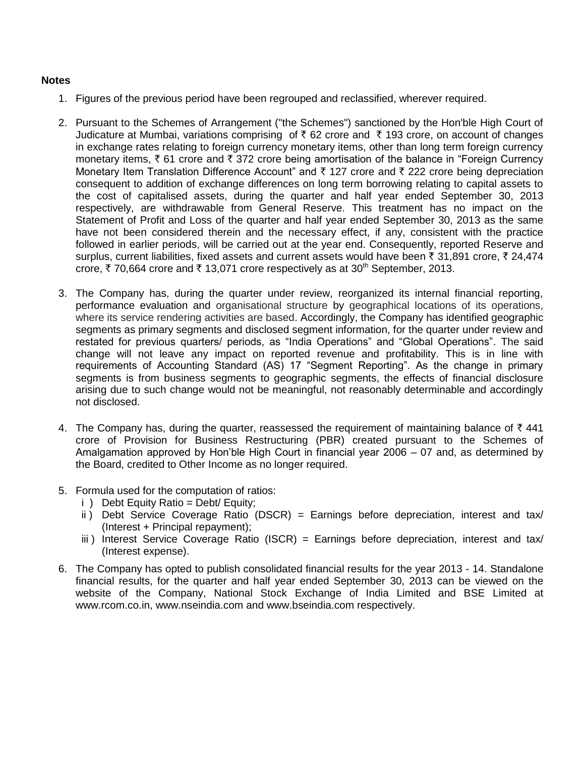## **Notes**

- 1. Figures of the previous period have been regrouped and reclassified, wherever required.
- 2. Pursuant to the Schemes of Arrangement ("the Schemes") sanctioned by the Hon'ble High Court of Judicature at Mumbai, variations comprising of  $\bar{\tau}$  62 crore and  $\bar{\tau}$  193 crore, on account of changes in exchange rates relating to foreign currency monetary items, other than long term foreign currency monetary items,  $\bar{\xi}$  61 crore and  $\bar{\xi}$  372 crore being amortisation of the balance in "Foreign Currency" Monetary Item Translation Difference Account" and  $\bar{\tau}$  127 crore and  $\bar{\tau}$  222 crore being depreciation consequent to addition of exchange differences on long term borrowing relating to capital assets to the cost of capitalised assets, during the quarter and half year ended September 30, 2013 respectively, are withdrawable from General Reserve. This treatment has no impact on the Statement of Profit and Loss of the quarter and half year ended September 30, 2013 as the same have not been considered therein and the necessary effect, if any, consistent with the practice followed in earlier periods, will be carried out at the year end. Consequently, reported Reserve and surplus, current liabilities, fixed assets and current assets would have been  $\bar{\tau}$  31,891 crore,  $\bar{\tau}$  24,474 crore,  $\bar{\tau}$  70,664 crore and  $\bar{\tau}$  13,071 crore respectively as at 30<sup>th</sup> September, 2013.
- 3. The Company has, during the quarter under review, reorganized its internal financial reporting, performance evaluation and organisational structure by geographical locations of its operations, where its service rendering activities are based. Accordingly, the Company has identified geographic segments as primary segments and disclosed segment information, for the quarter under review and restated for previous quarters/ periods, as "India Operations" and "Global Operations". The said change will not leave any impact on reported revenue and profitability. This is in line with requirements of Accounting Standard (AS) 17 "Segment Reporting". As the change in primary segments is from business segments to geographic segments, the effects of financial disclosure arising due to such change would not be meaningful, not reasonably determinable and accordingly not disclosed.
- 4. The Company has, during the quarter, reassessed the requirement of maintaining balance of  $\bar{\tau}$  441 crore of Provision for Business Restructuring (PBR) created pursuant to the Schemes of Amalgamation approved by Hon'ble High Court in financial year 2006 – 07 and, as determined by the Board, credited to Other Income as no longer required.
- 5. Formula used for the computation of ratios:
	- i ) Debt Equity Ratio = Debt/ Equity;
	- ii) Debt Service Coverage Ratio (DSCR) = Earnings before depreciation, interest and tax/ (Interest + Principal repayment);
	- iii ) Interest Service Coverage Ratio (ISCR) = Earnings before depreciation, interest and tax/ (Interest expense).
- 6. The Company has opted to publish consolidated financial results for the year 2013 14. Standalone financial results, for the quarter and half year ended September 30, 2013 can be viewed on the website of the Company, National Stock Exchange of India Limited and BSE Limited at www.rcom.co.in, www.nseindia.com and www.bseindia.com respectively.